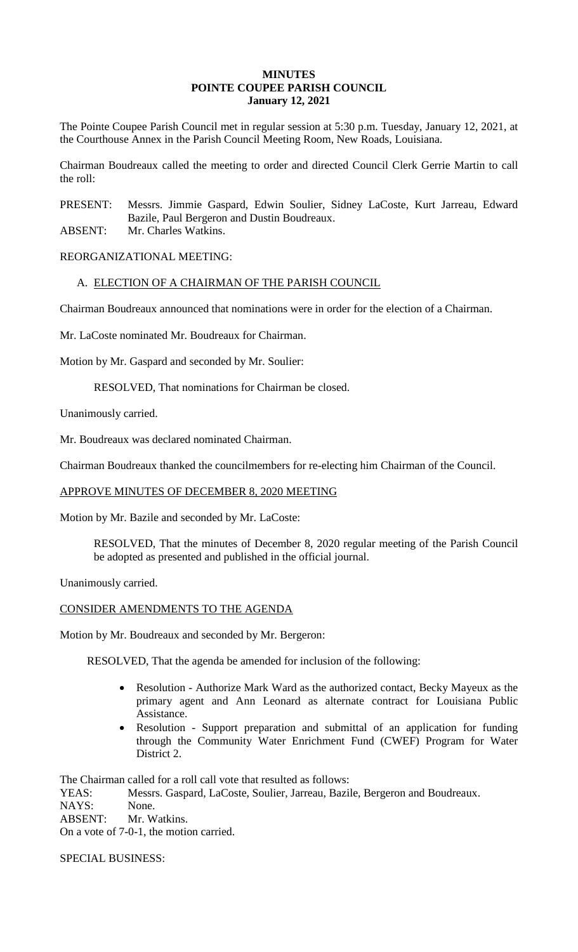## **MINUTES POINTE COUPEE PARISH COUNCIL January 12, 2021**

The Pointe Coupee Parish Council met in regular session at 5:30 p.m. Tuesday, January 12, 2021, at the Courthouse Annex in the Parish Council Meeting Room, New Roads, Louisiana.

Chairman Boudreaux called the meeting to order and directed Council Clerk Gerrie Martin to call the roll:

PRESENT: Messrs. Jimmie Gaspard, Edwin Soulier, Sidney LaCoste, Kurt Jarreau, Edward Bazile, Paul Bergeron and Dustin Boudreaux.

ABSENT: Mr. Charles Watkins.

REORGANIZATIONAL MEETING:

# A. ELECTION OF A CHAIRMAN OF THE PARISH COUNCIL

Chairman Boudreaux announced that nominations were in order for the election of a Chairman.

Mr. LaCoste nominated Mr. Boudreaux for Chairman.

Motion by Mr. Gaspard and seconded by Mr. Soulier:

RESOLVED, That nominations for Chairman be closed.

Unanimously carried.

Mr. Boudreaux was declared nominated Chairman.

Chairman Boudreaux thanked the councilmembers for re-electing him Chairman of the Council.

# APPROVE MINUTES OF DECEMBER 8, 2020 MEETING

Motion by Mr. Bazile and seconded by Mr. LaCoste:

RESOLVED, That the minutes of December 8, 2020 regular meeting of the Parish Council be adopted as presented and published in the official journal.

Unanimously carried.

### CONSIDER AMENDMENTS TO THE AGENDA

Motion by Mr. Boudreaux and seconded by Mr. Bergeron:

RESOLVED, That the agenda be amended for inclusion of the following:

- Resolution Authorize Mark Ward as the authorized contact, Becky Mayeux as the primary agent and Ann Leonard as alternate contract for Louisiana Public Assistance.
- Resolution Support preparation and submittal of an application for funding through the Community Water Enrichment Fund (CWEF) Program for Water District 2.

The Chairman called for a roll call vote that resulted as follows:

YEAS: Messrs. Gaspard, LaCoste, Soulier, Jarreau, Bazile, Bergeron and Boudreaux. NAYS: None.

ABSENT: Mr. Watkins.

On a vote of 7-0-1, the motion carried.

SPECIAL BUSINESS: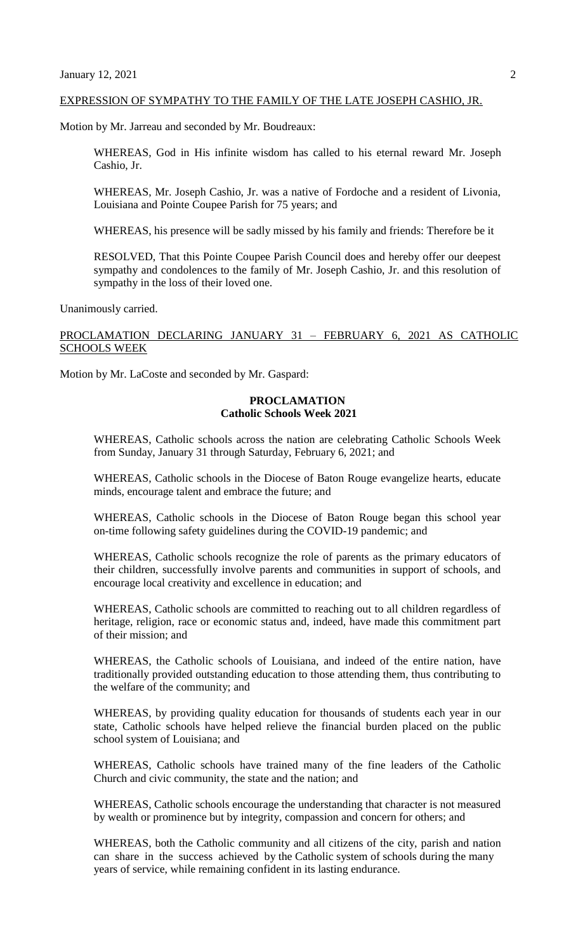### EXPRESSION OF SYMPATHY TO THE FAMILY OF THE LATE JOSEPH CASHIO, JR.

Motion by Mr. Jarreau and seconded by Mr. Boudreaux:

WHEREAS, God in His infinite wisdom has called to his eternal reward Mr. Joseph Cashio, Jr.

WHEREAS, Mr. Joseph Cashio, Jr. was a native of Fordoche and a resident of Livonia, Louisiana and Pointe Coupee Parish for 75 years; and

WHEREAS, his presence will be sadly missed by his family and friends: Therefore be it

RESOLVED, That this Pointe Coupee Parish Council does and hereby offer our deepest sympathy and condolences to the family of Mr. Joseph Cashio, Jr. and this resolution of sympathy in the loss of their loved one.

Unanimously carried.

# PROCLAMATION DECLARING JANUARY 31 – FEBRUARY 6, 2021 AS CATHOLIC SCHOOLS WEEK

Motion by Mr. LaCoste and seconded by Mr. Gaspard:

## **PROCLAMATION Catholic Schools Week 2021**

WHEREAS, Catholic schools across the nation are celebrating Catholic Schools Week from Sunday, January 31 through Saturday, February 6, 2021; and

WHEREAS, Catholic schools in the Diocese of Baton Rouge evangelize hearts, educate minds, encourage talent and embrace the future; and

WHEREAS, Catholic schools in the Diocese of Baton Rouge began this school year on-time following safety guidelines during the COVID-19 pandemic; and

WHEREAS, Catholic schools recognize the role of parents as the primary educators of their children, successfully involve parents and communities in support of schools, and encourage local creativity and excellence in education; and

WHEREAS, Catholic schools are committed to reaching out to all children regardless of heritage, religion, race or economic status and, indeed, have made this commitment part of their mission; and

WHEREAS, the Catholic schools of Louisiana, and indeed of the entire nation, have traditionally provided outstanding education to those attending them, thus contributing to the welfare of the community; and

WHEREAS, by providing quality education for thousands of students each year in our state, Catholic schools have helped relieve the financial burden placed on the public school system of Louisiana; and

WHEREAS, Catholic schools have trained many of the fine leaders of the Catholic Church and civic community, the state and the nation; and

WHEREAS, Catholic schools encourage the understanding that character is not measured by wealth or prominence but by integrity, compassion and concern for others; and

WHEREAS, both the Catholic community and all citizens of the city, parish and nation can share in the success achieved by the Catholic system of schools during the many years of service, while remaining confident in its lasting endurance.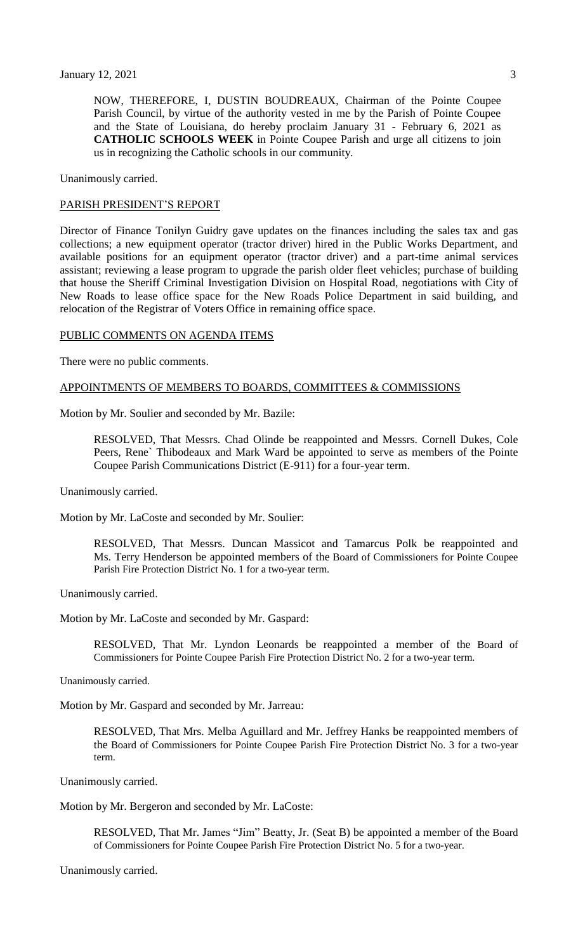NOW, THEREFORE, I, DUSTIN BOUDREAUX, Chairman of the Pointe Coupee Parish Council, by virtue of the authority vested in me by the Parish of Pointe Coupee and the State of Louisiana, do hereby proclaim January 31 - February 6, 2021 as **CATHOLIC SCHOOLS WEEK** in Pointe Coupee Parish and urge all citizens to join us in recognizing the Catholic schools in our community.

Unanimously carried.

### PARISH PRESIDENT'S REPORT

Director of Finance Tonilyn Guidry gave updates on the finances including the sales tax and gas collections; a new equipment operator (tractor driver) hired in the Public Works Department, and available positions for an equipment operator (tractor driver) and a part-time animal services assistant; reviewing a lease program to upgrade the parish older fleet vehicles; purchase of building that house the Sheriff Criminal Investigation Division on Hospital Road, negotiations with City of New Roads to lease office space for the New Roads Police Department in said building, and relocation of the Registrar of Voters Office in remaining office space.

## PUBLIC COMMENTS ON AGENDA ITEMS

There were no public comments.

#### APPOINTMENTS OF MEMBERS TO BOARDS, COMMITTEES & COMMISSIONS

Motion by Mr. Soulier and seconded by Mr. Bazile:

RESOLVED, That Messrs. Chad Olinde be reappointed and Messrs. Cornell Dukes, Cole Peers, Rene` Thibodeaux and Mark Ward be appointed to serve as members of the Pointe Coupee Parish Communications District (E-911) for a four-year term.

Unanimously carried.

Motion by Mr. LaCoste and seconded by Mr. Soulier:

RESOLVED, That Messrs. Duncan Massicot and Tamarcus Polk be reappointed and Ms. Terry Henderson be appointed members of the Board of Commissioners for Pointe Coupee Parish Fire Protection District No. 1 for a two-year term.

Unanimously carried.

Motion by Mr. LaCoste and seconded by Mr. Gaspard:

RESOLVED, That Mr. Lyndon Leonards be reappointed a member of the Board of Commissioners for Pointe Coupee Parish Fire Protection District No. 2 for a two-year term.

Unanimously carried.

Motion by Mr. Gaspard and seconded by Mr. Jarreau:

RESOLVED, That Mrs. Melba Aguillard and Mr. Jeffrey Hanks be reappointed members of the Board of Commissioners for Pointe Coupee Parish Fire Protection District No. 3 for a two-year term.

Unanimously carried.

Motion by Mr. Bergeron and seconded by Mr. LaCoste:

RESOLVED, That Mr. James "Jim" Beatty, Jr. (Seat B) be appointed a member of the Board of Commissioners for Pointe Coupee Parish Fire Protection District No. 5 for a two-year.

Unanimously carried.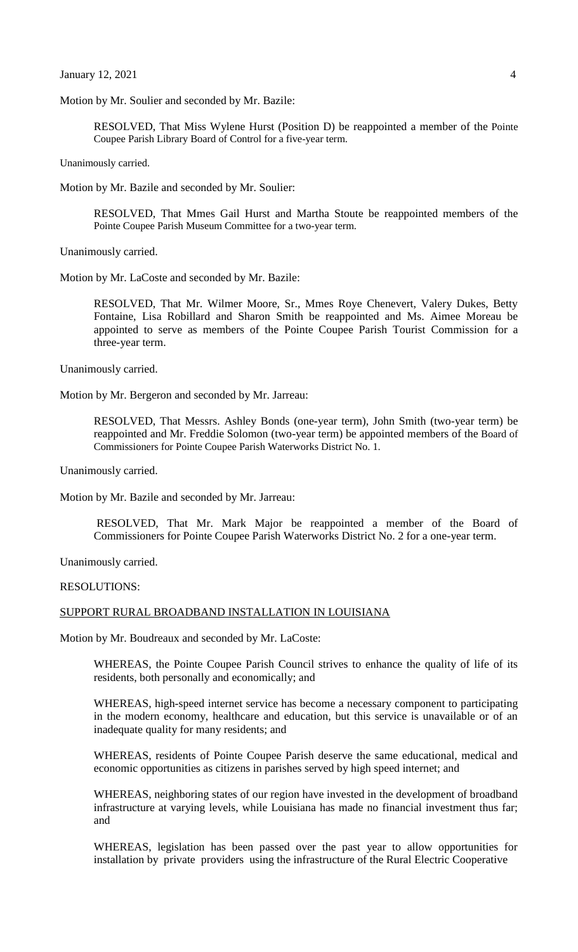Motion by Mr. Soulier and seconded by Mr. Bazile:

RESOLVED, That Miss Wylene Hurst (Position D) be reappointed a member of the Pointe Coupee Parish Library Board of Control for a five-year term.

Unanimously carried.

Motion by Mr. Bazile and seconded by Mr. Soulier:

RESOLVED, That Mmes Gail Hurst and Martha Stoute be reappointed members of the Pointe Coupee Parish Museum Committee for a two-year term.

Unanimously carried.

Motion by Mr. LaCoste and seconded by Mr. Bazile:

RESOLVED, That Mr. Wilmer Moore, Sr., Mmes Roye Chenevert, Valery Dukes, Betty Fontaine, Lisa Robillard and Sharon Smith be reappointed and Ms. Aimee Moreau be appointed to serve as members of the Pointe Coupee Parish Tourist Commission for a three-year term.

Unanimously carried.

Motion by Mr. Bergeron and seconded by Mr. Jarreau:

RESOLVED, That Messrs. Ashley Bonds (one-year term), John Smith (two-year term) be reappointed and Mr. Freddie Solomon (two-year term) be appointed members of the Board of Commissioners for Pointe Coupee Parish Waterworks District No. 1.

Unanimously carried.

Motion by Mr. Bazile and seconded by Mr. Jarreau:

RESOLVED, That Mr. Mark Major be reappointed a member of the Board of Commissioners for Pointe Coupee Parish Waterworks District No. 2 for a one-year term.

Unanimously carried.

#### RESOLUTIONS:

### SUPPORT RURAL BROADBAND INSTALLATION IN LOUISIANA

Motion by Mr. Boudreaux and seconded by Mr. LaCoste:

WHEREAS, the Pointe Coupee Parish Council strives to enhance the quality of life of its residents, both personally and economically; and

WHEREAS, high-speed internet service has become a necessary component to participating in the modern economy, healthcare and education, but this service is unavailable or of an inadequate quality for many residents; and

WHEREAS, residents of Pointe Coupee Parish deserve the same educational, medical and economic opportunities as citizens in parishes served by high speed internet; and

WHEREAS, neighboring states of our region have invested in the development of broadband infrastructure at varying levels, while Louisiana has made no financial investment thus far; and

WHEREAS, legislation has been passed over the past year to allow opportunities for installation by private providers using the infrastructure of the Rural Electric Cooperative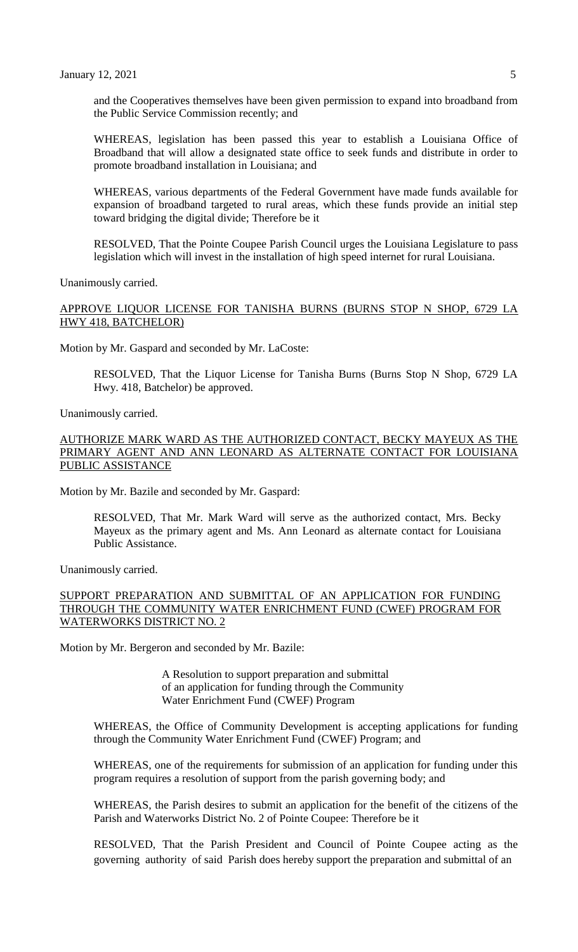and the Cooperatives themselves have been given permission to expand into broadband from the Public Service Commission recently; and

WHEREAS, legislation has been passed this year to establish a Louisiana Office of Broadband that will allow a designated state office to seek funds and distribute in order to promote broadband installation in Louisiana; and

WHEREAS, various departments of the Federal Government have made funds available for expansion of broadband targeted to rural areas, which these funds provide an initial step toward bridging the digital divide; Therefore be it

RESOLVED, That the Pointe Coupee Parish Council urges the Louisiana Legislature to pass legislation which will invest in the installation of high speed internet for rural Louisiana.

Unanimously carried.

## APPROVE LIQUOR LICENSE FOR TANISHA BURNS (BURNS STOP N SHOP, 6729 LA HWY 418, BATCHELOR)

Motion by Mr. Gaspard and seconded by Mr. LaCoste:

RESOLVED, That the Liquor License for Tanisha Burns (Burns Stop N Shop, 6729 LA Hwy. 418, Batchelor) be approved.

Unanimously carried.

### AUTHORIZE MARK WARD AS THE AUTHORIZED CONTACT, BECKY MAYEUX AS THE PRIMARY AGENT AND ANN LEONARD AS ALTERNATE CONTACT FOR LOUISIANA PUBLIC ASSISTANCE

Motion by Mr. Bazile and seconded by Mr. Gaspard:

RESOLVED, That Mr. Mark Ward will serve as the authorized contact, Mrs. Becky Mayeux as the primary agent and Ms. Ann Leonard as alternate contact for Louisiana Public Assistance.

Unanimously carried.

# SUPPORT PREPARATION AND SUBMITTAL OF AN APPLICATION FOR FUNDING THROUGH THE COMMUNITY WATER ENRICHMENT FUND (CWEF) PROGRAM FOR WATERWORKS DISTRICT NO. 2

Motion by Mr. Bergeron and seconded by Mr. Bazile:

A Resolution to support preparation and submittal of an application for funding through the Community Water Enrichment Fund (CWEF) Program

WHEREAS, the Office of Community Development is accepting applications for funding through the Community Water Enrichment Fund (CWEF) Program; and

WHEREAS, one of the requirements for submission of an application for funding under this program requires a resolution of support from the parish governing body; and

WHEREAS, the Parish desires to submit an application for the benefit of the citizens of the Parish and Waterworks District No. 2 of Pointe Coupee: Therefore be it

RESOLVED, That the Parish President and Council of Pointe Coupee acting as the governing authority of said Parish does hereby support the preparation and submittal of an